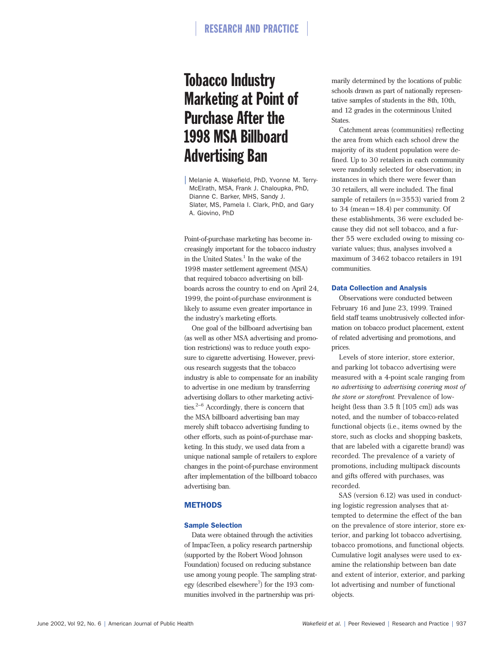# Tobacco Industry Marketing at Point of Purchase After the 1998 MSA Billboard Advertising Ban

| Melanie A. Wakefield, PhD, Yvonne M. Terry-McElrath, MSA, Frank J. Chaloupka, PhD, Dianne C. Barker, MHS, Sandy J. Slater, MS, Pamela I. Clark, PhD, and Gary A. Giovino, PhD

Point-of-purchase marketing has become increasingly important for the tobacco industry in the United States. $1$  In the wake of the 1998 master settlement agreement (MSA) that required tobacco advertising on billboards across the country to end on April 24, 1999, the point-of-purchase environment is likely to assume even greater importance in the industry's marketing efforts.

One goal of the billboard advertising ban (as well as other MSA advertising and promotion restrictions) was to reduce youth exposure to cigarette advertising. However, previous research suggests that the tobacco industry is able to compensate for an inability to advertise in one medium by transferring advertising dollars to other marketing activities.2–6 Accordingly, there is concern that the MSA billboard advertising ban may merely shift tobacco advertising funding to other efforts, such as point-of-purchase marketing. In this study, we used data from a unique national sample of retailers to explore changes in the point-of-purchase environment after implementation of the billboard tobacco advertising ban.

#### **METHODS**

#### Sample Selection

Data were obtained through the activities of ImpacTeen, a policy research partnership (supported by the Robert Wood Johnson Foundation) focused on reducing substance use among young people. The sampling strategy (described elsewhere<sup>7</sup>) for the 193 communities involved in the partnership was primarily determined by the locations of public schools drawn as part of nationally representative samples of students in the 8th, 10th, and 12 grades in the coterminous United States.

Catchment areas (communities) reflecting the area from which each school drew the majority of its student population were defined. Up to 30 retailers in each community were randomly selected for observation; in instances in which there were fewer than 30 retailers, all were included. The final sample of retailers  $(n=3553)$  varied from 2 to 34 (mean  $= 18.4$ ) per community. Of these establishments, 36 were excluded because they did not sell tobacco, and a further 55 were excluded owing to missing covariate values; thus, analyses involved a maximum of 3462 tobacco retailers in 191 communities.

#### Data Collection and Analysis

Observations were conducted between February 16 and June 23, 1999. Trained field staff teams unobtrusively collected information on tobacco product placement, extent of related advertising and promotions, and prices.

Levels of store interior, store exterior, and parking lot tobacco advertising were measured with a 4-point scale ranging from *no advertising* to *advertising covering most of the store or storefront*. Prevalence of lowheight (less than 3.5 ft [105 cm]) ads was noted, and the number of tobacco-related functional objects (i.e., items owned by the store, such as clocks and shopping baskets, that are labeled with a cigarette brand) was recorded. The prevalence of a variety of promotions, including multipack discounts and gifts offered with purchases, was recorded.

SAS (version 6.12) was used in conducting logistic regression analyses that attempted to determine the effect of the ban on the prevalence of store interior, store exterior, and parking lot tobacco advertising, tobacco promotions, and functional objects. Cumulative logit analyses were used to examine the relationship between ban date and extent of interior, exterior, and parking lot advertising and number of functional objects.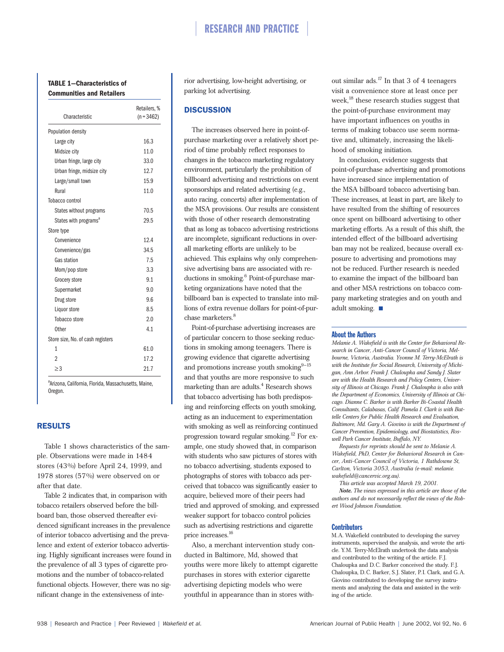#### **TABLE 1—Characteristics of Communities and Retailers**

| Characteristic                    | Retailers, %<br>$(n = 3462)$ |  |
|-----------------------------------|------------------------------|--|
| Population density                |                              |  |
| Large city                        | 16.3                         |  |
| Midsize city                      | 11.0                         |  |
| Urban fringe, large city          | 33.0                         |  |
| Urban fringe, midsize city        | 12.7                         |  |
| Large/small town                  | 15.9                         |  |
| Rural                             | 11.0                         |  |
| Tobacco control                   |                              |  |
| States without programs           | 70.5                         |  |
| States with programs <sup>a</sup> | 29.5                         |  |
| Store type                        |                              |  |
| Convenience                       | 12.4                         |  |
| Convenience/gas                   | 34.5                         |  |
| Gas station                       | 7.5                          |  |
| Mom/pop store                     | 3.3                          |  |
| Grocery store                     | 9.1                          |  |
| Supermarket                       | 9.0                          |  |
| Drug store                        | 9.6                          |  |
| Liquor store                      | 8.5                          |  |
| Tobacco store                     | 2.0                          |  |
| Other                             | 4.1                          |  |
| Store size, No. of cash registers |                              |  |
| 1                                 | 61.0                         |  |
| 2                                 | 17.2                         |  |
| $\geq$ 3                          | 21.7                         |  |

<sup>a</sup>Arizona, California, Florida, Massachusetts, Maine, Oregon.

#### RESULTS

Table 1 shows characteristics of the sample. Observations were made in 1484 stores (43%) before April 24, 1999, and 1978 stores (57%) were observed on or after that date.

Table 2 indicates that, in comparison with tobacco retailers observed before the billboard ban, those observed thereafter evidenced significant increases in the prevalence of interior tobacco advertising and the prevalence and extent of exterior tobacco advertising. Highly significant increases were found in the prevalence of all 3 types of cigarette promotions and the number of tobacco-related functional objects. However, there was no significant change in the extensiveness of interior advertising, low-height advertising, or parking lot advertising.

#### **DISCUSSION**

The increases observed here in point-ofpurchase marketing over a relatively short period of time probably reflect responses to changes in the tobacco marketing regulatory environment, particularly the prohibition of billboard advertising and restrictions on event sponsorships and related advertising (e.g., auto racing, concerts) after implementation of the MSA provisions. Our results are consistent with those of other research demonstrating that as long as tobacco advertising restrictions are incomplete, significant reductions in overall marketing efforts are unlikely to be achieved. This explains why only comprehensive advertising bans are associated with reductions in smoking.<sup>6</sup> Point-of-purchase marketing organizations have noted that the billboard ban is expected to translate into millions of extra revenue dollars for point-of-purchase marketers.<sup>8</sup>

Point-of-purchase advertising increases are of particular concern to those seeking reductions in smoking among teenagers. There is growing evidence that cigarette advertising and promotions increase youth smoking $9-15$ and that youths are more responsive to such marketing than are adults.<sup>4</sup> Research shows that tobacco advertising has both predisposing and reinforcing effects on youth smoking, acting as an inducement to experimentation with smoking as well as reinforcing continued progression toward regular smoking.<sup>12</sup> For example, one study showed that, in comparison with students who saw pictures of stores with no tobacco advertising, students exposed to photographs of stores with tobacco ads perceived that tobacco was significantly easier to acquire, believed more of their peers had tried and approved of smoking, and expressed weaker support for tobacco control policies such as advertising restrictions and cigarette price increases.16

Also, a merchant intervention study conducted in Baltimore, Md, showed that youths were more likely to attempt cigarette purchases in stores with exterior cigarette advertising depicting models who were youthful in appearance than in stores without similar ads.<sup>17</sup> In that 3 of 4 teenagers visit a convenience store at least once per week,<sup>18</sup> these research studies suggest that the point-of-purchase environment may have important influences on youths in terms of making tobacco use seem normative and, ultimately, increasing the likelihood of smoking initiation.

In conclusion, evidence suggests that point-of-purchase advertising and promotions have increased since implementation of the MSA billboard tobacco advertising ban. These increases, at least in part, are likely to have resulted from the shifting of resources once spent on billboard advertising to other marketing efforts. As a result of this shift, the intended effect of the billboard advertising ban may not be realized, because overall exposure to advertising and promotions may not be reduced. Further research is needed to examine the impact of the billboard ban and other MSA restrictions on tobacco company marketing strategies and on youth and adult smoking.  $\blacksquare$ 

#### About the Authors

*Melanie A. Wakefield is with the Center for Behavioral Research in Cancer, Anti-Cancer Council of Victoria, Melbourne, Victoria, Australia. Yvonne M. Terry-McElrath is with the Institute for Social Research, University of Michigan, Ann Arbor. Frank J. Chaloupka and Sandy J. Slater are with the Health Research and Policy Centers, University of Illinois at Chicago. Frank J. Chaloupka is also with the Department of Economics, University of Illinois at Chicago. Dianne C. Barker is with Barker Bi-Coastal Health Consultants, Calabasas, Calif. Pamela I. Clark is with Battelle Centers for Public Health Research and Evaluation, Baltimore, Md. Gary A. Giovino is with the Department of Cancer Prevention, Epidemiology, and Biostatistics, Roswell Park Cancer Institute, Buffalo, NY.*

*Requests for reprints should be sent to Melanie A. Wakefield, PhD, Center for Behavioral Research in Cancer, Anti-Cancer Council of Victoria, 1 Rathdowne St, Carlton, Victoria 3053, Australia (e-mail: melanie. wakefield@cancervic.org.au).*

*This article was accepted March 19, 2001.*

*Note. The views expressed in this article are those of the authors and do not necessarily reflect the views of the Robert Wood Johnson Foundation.*

#### **Contributors**

M.A. Wakefield contributed to developing the survey instruments, supervised the analysis, and wrote the article. Y.M. Terry-McElrath undertook the data analysis and contributed to the writing of the article. F.J. Chaloupka and D.C. Barker conceived the study. F.J. Chaloupka, D.C. Barker, S.J. Slater, P.I. Clark, and G.A. Giovino contributed to developing the survey instruments and analyzing the data and assisted in the writing of the article.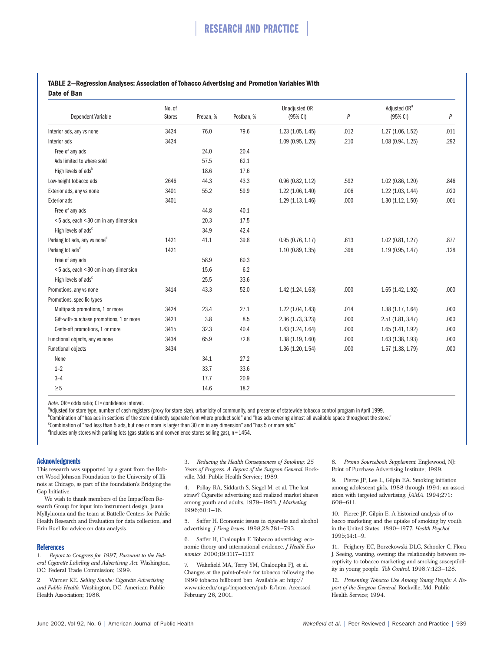#### **TABLE 2—Regression Analyses: Association of Tobacco Advertising and Promotion Variables With Date of Ban**

| <b>Dependent Variable</b>                 | No. of<br><b>Stores</b> | Preban, % | Postban, % | <b>Unadjusted OR</b><br>$(95% \text{ Cl})$ | P    | Adiusted OR <sup>a</sup><br>$(95% \text{ Cl})$ | P    |
|-------------------------------------------|-------------------------|-----------|------------|--------------------------------------------|------|------------------------------------------------|------|
|                                           |                         |           |            |                                            |      |                                                |      |
| Interior ads                              | 3424                    |           |            | 1.09(0.95, 1.25)                           | .210 | 1.08 (0.94, 1.25)                              | .292 |
| Free of any ads                           |                         | 24.0      | 20.4       |                                            |      |                                                |      |
| Ads limited to where sold                 |                         | 57.5      | 62.1       |                                            |      |                                                |      |
| High levels of ads <sup>b</sup>           |                         | 18.6      | 17.6       |                                            |      |                                                |      |
| Low-height tobacco ads                    | 2646                    | 44.3      | 43.3       | 0.96(0.82, 1.12)                           | .592 | 1.02(0.86, 1.20)                               | .846 |
| Exterior ads, any vs none                 | 3401                    | 55.2      | 59.9       | 1.22(1.06, 1.40)                           | .006 | 1.22(1.03, 1.44)                               | .020 |
| <b>Exterior ads</b>                       | 3401                    |           |            | 1.29(1.13, 1.46)                           | .000 | 1.30(1.12, 1.50)                               | .001 |
| Free of any ads                           |                         | 44.8      | 40.1       |                                            |      |                                                |      |
| <5 ads, each <30 cm in any dimension      |                         | 20.3      | 17.5       |                                            |      |                                                |      |
| High levels of ads <sup>c</sup>           |                         | 34.9      | 42.4       |                                            |      |                                                |      |
| Parking lot ads, any vs none <sup>d</sup> | 1421                    | 41.1      | 39.8       | 0.95(0.76, 1.17)                           | .613 | 1.02(0.81, 1.27)                               | .877 |
| Parking lot ads <sup>d</sup>              | 1421                    |           |            | 1.10(0.89, 1.35)                           | .396 | 1.19(0.95, 1.47)                               | .128 |
| Free of any ads                           |                         | 58.9      | 60.3       |                                            |      |                                                |      |
| <5 ads, each <30 cm in any dimension      |                         | 15.6      | 6.2        |                                            |      |                                                |      |
| High levels of ads <sup>c</sup>           |                         | 25.5      | 33.6       |                                            |      |                                                |      |
| Promotions, any vs none                   | 3414                    | 43.3      | 52.0       | 1.42 (1.24, 1.63)                          | .000 | 1.65(1.42, 1.92)                               | .000 |
| Promotions, specific types                |                         |           |            |                                            |      |                                                |      |
| Multipack promotions, 1 or more           | 3424                    | 23.4      | 27.1       | 1.22(1.04, 1.43)                           | .014 | 1.38(1.17, 1.64)                               | .000 |
| Gift-with-purchase promotions, 1 or more  | 3423                    | 3.8       | 8.5        | 2.36 (1.73, 3.23)                          | .000 | 2.51(1.81, 3.47)                               | .000 |
| Cents-off promotions, 1 or more           | 3415                    | 32.3      | 40.4       | 1.43 (1.24, 1.64)                          | .000 | 1.65(1.41, 1.92)                               | .000 |
| Functional objects, any vs none           | 3434                    | 65.9      | 72.8       | 1.38(1.19, 1.60)                           | .000 | 1.63(1.38, 1.93)                               | .000 |
| <b>Functional objects</b>                 | 3434                    |           |            | 1.36(1.20, 1.54)                           | .000 | 1.57(1.38, 1.79)                               | .000 |
| None                                      |                         | 34.1      | 27.2       |                                            |      |                                                |      |
| $1 - 2$                                   |                         | 33.7      | 33.6       |                                            |      |                                                |      |
| $3 - 4$                                   |                         | 17.7      | 20.9       |                                            |      |                                                |      |
| $\geq 5$                                  |                         | 14.6      | 18.2       |                                            |      |                                                |      |

*Note.* OR = odds ratio; CI = confidence interval.

<sup>a</sup>Adjusted for store type, number of cash registers (proxy for store size), urbanicity of community, and presence of statewide tobacco control program in April 1999.

<sup>b</sup>Combination of "has ads in sections of the store distinctly separate from where product sold" and "has ads covering almost all available space throughout the store."

Combination of "had less than 5 ads, but one or more is larger than 30 cm in any dimension" and "has 5 or more ads."

<sup>d</sup>Includes only stores with parking lots (gas stations and convenience stores selling gas), n = 1454.

### Acknowledgments

This research was supported by a grant from the Robert Wood Johnson Foundation to the University of Illinois at Chicago, as part of the foundation's Bridging the Gap Initiative.

We wish to thank members of the ImpacTeen Research Group for input into instrument design, Jaana Myllyluoma and the team at Battelle Centers for Public Health Research and Evaluation for data collection, and Erin Ruel for advice on data analysis.

#### **References**

1. *Report to Congress for 1997, Pursuant to the Federal Cigarette Labeling and Advertising Act*. Washington, DC: Federal Trade Commission; 1999.

2. Warner KE. *Selling Smoke: Cigarette Advertising and Public Health*. Washington, DC: American Public Health Association; 1986.

3. *Reducing the Health Consequences of Smoking: 25 Years of Progress. A Report of the Surgeon General*. Rockville, Md: Public Health Service; 1989.

4. Pollay RA, Siddarth S, Siegel M, et al. The last straw? Cigarette advertising and realized market shares among youth and adults, 1979–1993. *J Marketing.* 1996;60:1–16.

5. Saffer H. Economic issues in cigarette and alcohol advertising. *J Drug Issues.* 1998;28:781–793.

6. Saffer H, Chaloupka F. Tobacco advertising: economic theory and international evidence. *J Health Economics.* 2000;19:1117–1137.

7. Wakefield MA, Terry YM, Chaloupka FJ, et al. Changes at the point-of-sale for tobacco following the 1999 tobacco billboard ban. Available at: http:// www.uic.edu/orgs/impacteen/pub\_fs/htm. Accessed February 26, 2001.

8. *Promo Sourcebook Supplement.* Englewood, NJ: Point of Purchase Advertising Institute; 1999.

9. Pierce JP, Lee L, Gilpin EA. Smoking initiation among adolescent girls, 1988 through 1994: an association with targeted advertising. *JAMA.* 1994;271: 608–611.

10. Pierce JP, Gilpin E. A historical analysis of tobacco marketing and the uptake of smoking by youth in the United States: 1890–1977. *Health Psychol.* 1995;14:1–9.

11. Feighery EC, Borzekowski DLG, Schooler C, Flora J. Seeing, wanting, owning: the relationship between receptivity to tobacco marketing and smoking susceptibility in young people. *Tob Control.* 1998;7:123–128.

12. *Preventing Tobacco Use Among Young People: A Report of the Surgeon General*. Rockville, Md: Public Health Service; 1994.